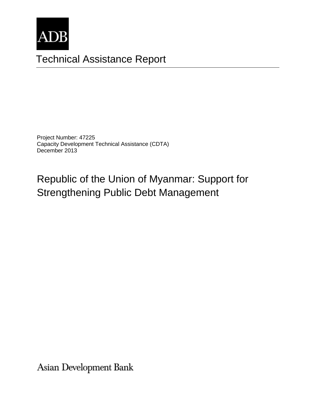

# Technical Assistance Report

Project Number: 47225 Capacity Development Technical Assistance (CDTA) December 2013

# Republic of the Union of Myanmar: Support for Strengthening Public Debt Management

Asian Development Bank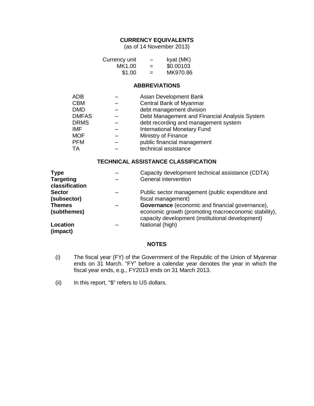#### **CURRENCY EQUIVALENTS**

(as of 14 November 2013)

| Currency unit | $\overline{\phantom{0}}$ | kyat (MK) |
|---------------|--------------------------|-----------|
| MK1.00        | $=$                      | \$0.00103 |
| \$1.00        | $=$                      | MK970.86  |

#### **ABBREVIATIONS**

| ADB          | Asian Development Bank                        |
|--------------|-----------------------------------------------|
| <b>CBM</b>   | Central Bank of Myanmar                       |
| <b>DMD</b>   | debt management division                      |
| <b>DMFAS</b> | Debt Management and Financial Analysis System |
| <b>DRMS</b>  | debt recording and management system          |
| <b>IMF</b>   | <b>International Monetary Fund</b>            |
| <b>MOF</b>   | Ministry of Finance                           |
| <b>PFM</b>   | public financial management                   |
| TA           | technical assistance                          |

#### **TECHNICAL ASSISTANCE CLASSIFICATION**

| <b>Type</b>                        | Capacity development technical assistance (CDTA)                                                         |
|------------------------------------|----------------------------------------------------------------------------------------------------------|
| <b>Targeting</b><br>classification | General intervention                                                                                     |
| <b>Sector</b>                      | Public sector management (public expenditure and                                                         |
| (subsector)                        | fiscal management)                                                                                       |
| <b>Themes</b>                      | <b>Governance</b> (economic and financial governance),                                                   |
| (subthemes)                        | economic growth (promoting macroeconomic stability),<br>capacity development (institutional development) |
| Location<br>(impact)               | National (high)                                                                                          |

#### **NOTES**

- (i) The fiscal year (FY) of the Government of the Republic of the Union of Myanmar ends on 31 March. "FY" before a calendar year denotes the year in which the fiscal year ends, e.g., FY2013 ends on 31 March 2013.
- (ii) In this report, "\$" refers to US dollars.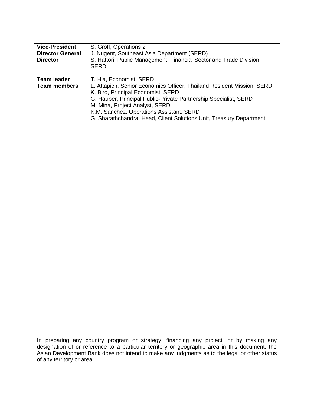| <b>Vice-President</b><br><b>Director General</b><br><b>Director</b> | S. Groff, Operations 2<br>J. Nugent, Southeast Asia Department (SERD)<br>S. Hattori, Public Management, Financial Sector and Trade Division,<br><b>SERD</b>                                                                                                                                                                                                      |
|---------------------------------------------------------------------|------------------------------------------------------------------------------------------------------------------------------------------------------------------------------------------------------------------------------------------------------------------------------------------------------------------------------------------------------------------|
| <b>Team leader</b><br><b>Team members</b>                           | T. Hla, Economist, SERD<br>L. Attapich, Senior Economics Officer, Thailand Resident Mission, SERD<br>K. Bird, Principal Economist, SERD<br>G. Hauber, Principal Public-Private Partnership Specialist, SERD<br>M. Mina, Project Analyst, SERD<br>K.M. Sanchez, Operations Assistant, SERD<br>G. Sharathchandra, Head, Client Solutions Unit, Treasury Department |

In preparing any country program or strategy, financing any project, or by making any designation of or reference to a particular territory or geographic area in thi In preparing any country program or strategy, financing any project, or by making any designation of or reference to a particular territory or geographic area in this document, the Asian Development Bank does not intend to make any judgments as to the legal or other status of any territory or area.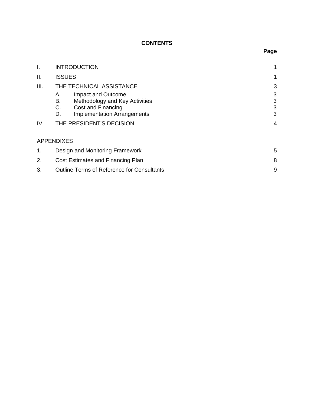# **CONTENTS**

| I.   | <b>INTRODUCTION</b>                               |   |
|------|---------------------------------------------------|---|
| Ш.   | <b>ISSUES</b>                                     |   |
| III. | THE TECHNICAL ASSISTANCE                          | 3 |
|      | Impact and Outcome<br>А.                          | 3 |
|      | В.<br>Methodology and Key Activities              | 3 |
|      | C.<br>Cost and Financing                          | 3 |
|      | <b>Implementation Arrangements</b><br>D.          | 3 |
| IV.  | THE PRESIDENT'S DECISION                          |   |
|      | <b>APPENDIXES</b>                                 |   |
| 1.   | Design and Monitoring Framework                   | 5 |
| 2.   | Cost Estimates and Financing Plan                 |   |
| 3.   | <b>Outline Terms of Reference for Consultants</b> | 9 |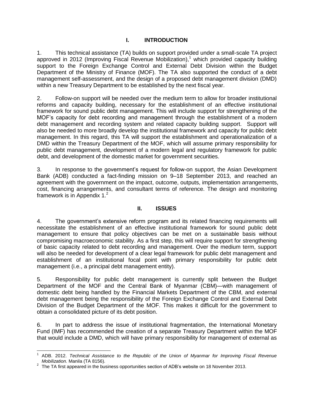# **I. INTRODUCTION**

1. This technical assistance (TA) builds on support provided under a small-scale TA project approved in 2012 (Improving Fiscal Revenue Mobilization), <sup>1</sup> which provided capacity building support to the Foreign Exchange Control and External Debt Division within the Budget Department of the Ministry of Finance (MOF). The TA also supported the conduct of a debt management self-assessment, and the design of a proposed debt management division (DMD) within a new Treasury Department to be established by the next fiscal year.

2. Follow-on support will be needed over the medium term to allow for broader institutional reforms and capacity building, necessary for the establishment of an effective institutional framework for sound public debt management. This will include support for strengthening of the MOF's capacity for debt recording and management through the establishment of a modern debt management and recording system and related capacity building support. Support will also be needed to more broadly develop the institutional framework and capacity for public debt management. In this regard, this TA will support the establishment and operationalization of a DMD within the Treasury Department of the MOF, which will assume primary responsibility for public debt management, development of a modern legal and regulatory framework for public debt, and development of the domestic market for government securities.

3. In response to the government's request for follow-on support, the Asian Development Bank (ADB) conducted a fact-finding mission on 9–18 September 2013, and reached an agreement with the government on the impact, outcome, outputs, implementation arrangements, cost, financing arrangements, and consultant terms of reference. The design and monitoring framework is in Appendix  $1<sup>2</sup>$ .

#### **II. ISSUES**

4. The government's extensive reform program and its related financing requirements will necessitate the establishment of an effective institutional framework for sound public debt management to ensure that policy objectives can be met on a sustainable basis without compromising macroeconomic stability. As a first step, this will require support for strengthening of basic capacity related to debt recording and management. Over the medium term, support will also be needed for development of a clear legal framework for public debt management and establishment of an institutional focal point with primary responsibility for public debt management (i.e., a principal debt management entity).

5. Responsibility for public debt management is currently split between the Budget Department of the MOF and the Central Bank of Myanmar (CBM)—with management of domestic debt being handled by the Financial Markets Department of the CBM, and external debt management being the responsibility of the Foreign Exchange Control and External Debt Division of the Budget Department of the MOF. This makes it difficult for the government to obtain a consolidated picture of its debt position.

6. In part to address the issue of institutional fragmentation, the International Monetary Fund (IMF) has recommended the creation of a separate Treasury Department within the MOF that would include a DMD, which will have primary responsibility for management of external as

j

<sup>1</sup> ADB. 2012. *Technical Assistance to the Republic of the Union of Myanmar for Improving Fiscal Revenue Mobilization.* Manila (TA 8156).

 $2$  The TA first appeared in the business opportunities section of ADB's website on 18 November 2013.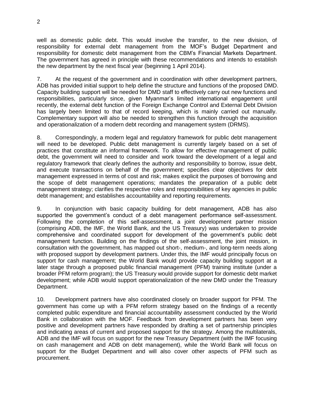well as domestic public debt. This would involve the transfer, to the new division, of responsibility for external debt management from the MOF's Budget Department and responsibility for domestic debt management from the CBM's Financial Markets Department. The government has agreed in principle with these recommendations and intends to establish the new department by the next fiscal year (beginning 1 April 2014).

7. At the request of the government and in coordination with other development partners, ADB has provided initial support to help define the structure and functions of the proposed DMD. Capacity building support will be needed for DMD staff to effectively carry out new functions and responsibilities, particularly since, given Myanmar's limited international engagement until recently, the external debt function of the Foreign Exchange Control and External Debt Division has largely been limited to that of record keeping, which is mainly carried out manually. Complementary support will also be needed to strengthen this function through the acquisition and operationalization of a modern debt recording and management system (DRMS).

8. Correspondingly, a modern legal and regulatory framework for public debt management will need to be developed. Public debt management is currently largely based on a set of practices that constitute an informal framework. To allow for effective management of public debt, the government will need to consider and work toward the development of a legal and regulatory framework that clearly defines the authority and responsibility to borrow, issue debt, and execute transactions on behalf of the government; specifies clear objectives for debt management expressed in terms of cost and risk; makes explicit the purposes of borrowing and the scope of debt management operations; mandates the preparation of a public debt management strategy; clarifies the respective roles and responsibilities of key agencies in public debt management; and establishes accountability and reporting requirements.

9. In conjunction with basic capacity building for debt management, ADB has also supported the government's conduct of a debt management performance self-assessment. Following the completion of this self-assessment, a joint development partner mission (comprising ADB, the IMF, the World Bank, and the US Treasury) was undertaken to provide comprehensive and coordinated support for development of the government's public debt management function. Building on the findings of the self-assessment, the joint mission, in consultation with the government, has mapped out short-, medium-, and long-term needs along with proposed support by development partners. Under this, the IMF would principally focus on support for cash management; the World Bank would provide capacity building support at a later stage through a proposed public financial management (PFM) training institute (under a broader PFM reform program); the US Treasury would provide support for domestic debt market development; while ADB would support operationalization of the new DMD under the Treasury Department.

10. Development partners have also coordinated closely on broader support for PFM. The government has come up with a PFM reform strategy based on the findings of a recently completed public expenditure and financial accountability assessment conducted by the World Bank in collaboration with the MOF. Feedback from development partners has been very positive and development partners have responded by drafting a set of partnership principles and indicating areas of current and proposed support for the strategy. Among the multilaterals, ADB and the IMF will focus on support for the new Treasury Department (with the IMF focusing on cash management and ADB on debt management), while the World Bank will focus on support for the Budget Department and will also cover other aspects of PFM such as procurement.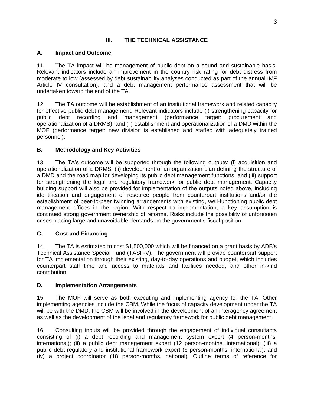## **III. THE TECHNICAL ASSISTANCE**

## **A. Impact and Outcome**

11. The TA impact will be management of public debt on a sound and sustainable basis. Relevant indicators include an improvement in the country risk rating for debt distress from moderate to low (assessed by debt sustainability analyses conducted as part of the annual IMF Article IV consultation), and a debt management performance assessment that will be undertaken toward the end of the TA.

12. The TA outcome will be establishment of an institutional framework and related capacity for effective public debt management. Relevant indicators include (i) strengthening capacity for public debt recording and management (performance target: procurement and operationalization of a DRMS); and (ii) establishment and operationalization of a DMD within the MOF (performance target: new division is established and staffed with adequately trained personnel).

## **B. Methodology and Key Activities**

13. The TA's outcome will be supported through the following outputs: (i) acquisition and operationalization of a DRMS, (ii) development of an organization plan defining the structure of a DMD and the road map for developing its public debt management functions, and (iii) support for strengthening the legal and regulatory framework for public debt management. Capacity building support will also be provided for implementation of the outputs noted above, including identification and engagement of resource people from counterpart institutions and/or the establishment of peer-to-peer twinning arrangements with existing, well-functioning public debt management offices in the region. With respect to implementation, a key assumption is continued strong government ownership of reforms. Risks include the possibility of unforeseen crises placing large and unavoidable demands on the government's fiscal position.

# **C. Cost and Financing**

14. The TA is estimated to cost \$1,500,000 which will be financed on a grant basis by ADB's Technical Assistance Special Fund (TASF-V). The government will provide counterpart support for TA implementation through their existing, day-to-day operations and budget, which includes counterpart staff time and access to materials and facilities needed, and other in-kind contribution.

#### **D. Implementation Arrangements**

15. The MOF will serve as both executing and implementing agency for the TA. Other implementing agencies include the CBM. While the focus of capacity development under the TA will be with the DMD, the CBM will be involved in the development of an interagency agreement as well as the development of the legal and regulatory framework for public debt management.

16. Consulting inputs will be provided through the engagement of individual consultants consisting of (i) a debt recording and management system expert (4 person-months, international); (ii) a public debt management expert (12 person-months, international); (iii) a public debt regulatory and institutional framework expert (6 person-months, international); and (iv) a project coordinator (18 person-months, national). Outline terms of reference for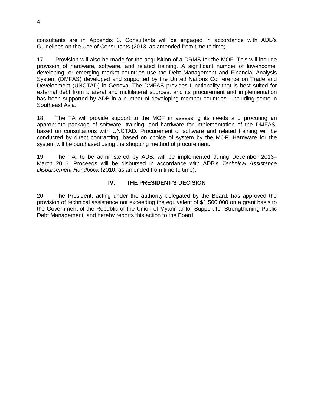consultants are in Appendix 3. Consultants will be engaged in accordance with ADB's Guidelines on the Use of Consultants (2013, as amended from time to time).

17. Provision will also be made for the acquisition of a DRMS for the MOF. This will include provision of hardware, software, and related training. A significant number of low-income, developing, or emerging market countries use the Debt Management and Financial Analysis System (DMFAS) developed and supported by the United Nations Conference on Trade and Development (UNCTAD) in Geneva. The DMFAS provides functionality that is best suited for external debt from bilateral and multilateral sources, and its procurement and implementation has been supported by ADB in a number of developing member countries—including some in Southeast Asia.

18. The TA will provide support to the MOF in assessing its needs and procuring an appropriate package of software, training, and hardware for implementation of the DMFAS, based on consultations with UNCTAD. Procurement of software and related training will be conducted by direct contracting, based on choice of system by the MOF. Hardware for the system will be purchased using the shopping method of procurement.

19. The TA, to be administered by ADB, will be implemented during December 2013– March 2016. Proceeds will be disbursed in accordance with ADB's *Technical Assistance Disbursement Handbook* (2010, as amended from time to time).

#### **IV. THE PRESIDENT'S DECISION**

20. The President, acting under the authority delegated by the Board, has approved the provision of technical assistance not exceeding the equivalent of \$1,500,000 on a grant basis to the Government of the Republic of the Union of Myanmar for Support for Strengthening Public Debt Management, and hereby reports this action to the Board.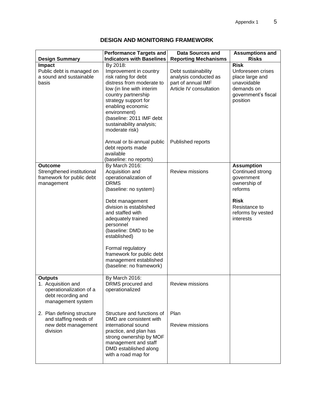| <b>Design Summary</b>                                                                                      | <b>Performance Targets and</b><br><b>Indicators with Baselines</b>                                                                                                                                                                                                                                                                                      | <b>Data Sources and</b><br><b>Reporting Mechanisms</b>                                        | <b>Assumptions and</b><br><b>Risks</b>                                                                                                           |
|------------------------------------------------------------------------------------------------------------|---------------------------------------------------------------------------------------------------------------------------------------------------------------------------------------------------------------------------------------------------------------------------------------------------------------------------------------------------------|-----------------------------------------------------------------------------------------------|--------------------------------------------------------------------------------------------------------------------------------------------------|
| Impact<br>Public debt is managed on<br>a sound and sustainable<br>basis                                    | By 2018:<br>Improvement in country<br>risk rating for debt<br>distress from moderate to<br>low (in line with interim<br>country partnership<br>strategy support for<br>enabling economic<br>environment)<br>(baseline: 2011 IMF debt<br>sustainability analysis;<br>moderate risk)                                                                      | Debt sustainability<br>analysis conducted as<br>part of annual IMF<br>Article IV consultation | <b>Risk</b><br>Unforeseen crises<br>place large and<br>unavoidable<br>demands on<br>government's fiscal<br>position                              |
|                                                                                                            | Annual or bi-annual public<br>debt reports made<br>available<br>(baseline: no reports)                                                                                                                                                                                                                                                                  | Published reports                                                                             |                                                                                                                                                  |
| <b>Outcome</b><br>Strengthened institutional<br>framework for public debt<br>management                    | By March 2016:<br>Acquisition and<br>operationalization of<br><b>DRMS</b><br>(baseline: no system)<br>Debt management<br>division is established<br>and staffed with<br>adequately trained<br>personnel<br>(baseline: DMD to be<br>established)<br>Formal regulatory<br>framework for public debt<br>management established<br>(baseline: no framework) | <b>Review missions</b>                                                                        | <b>Assumption</b><br>Continued strong<br>government<br>ownership of<br>reforms<br><b>Risk</b><br>Resistance to<br>reforms by vested<br>interests |
| <b>Outputs</b><br>1. Acquisition and<br>operationalization of a<br>debt recording and<br>management system | By March 2016:<br>DRMS procured and<br>operationalized                                                                                                                                                                                                                                                                                                  | <b>Review missions</b>                                                                        |                                                                                                                                                  |
| 2. Plan defining structure<br>and staffing needs of<br>new debt management<br>division                     | Structure and functions of<br>DMD are consistent with<br>international sound<br>practice, and plan has<br>strong ownership by MOF<br>management and staff<br>DMD established along<br>with a road map for                                                                                                                                               | Plan<br><b>Review missions</b>                                                                |                                                                                                                                                  |

# **DESIGN AND MONITORING FRAMEWORK**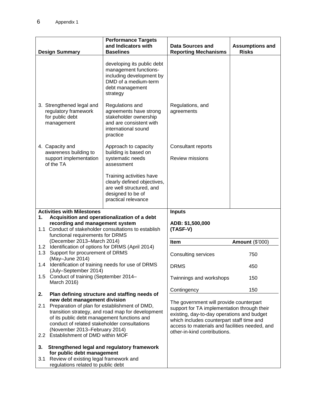| <b>Design Summary</b>                                                                                                                                                                                                                     | <b>Performance Targets</b><br>and Indicators with<br><b>Baselines</b>                                                                  | <b>Data Sources and</b><br><b>Reporting Mechanisms</b>                                                                                                                                                                                                              | <b>Assumptions and</b><br><b>Risks</b> |
|-------------------------------------------------------------------------------------------------------------------------------------------------------------------------------------------------------------------------------------------|----------------------------------------------------------------------------------------------------------------------------------------|---------------------------------------------------------------------------------------------------------------------------------------------------------------------------------------------------------------------------------------------------------------------|----------------------------------------|
|                                                                                                                                                                                                                                           |                                                                                                                                        |                                                                                                                                                                                                                                                                     |                                        |
|                                                                                                                                                                                                                                           | developing its public debt<br>management functions-<br>including development by<br>DMD of a medium-term<br>debt management<br>strategy |                                                                                                                                                                                                                                                                     |                                        |
| 3. Strengthened legal and<br>regulatory framework<br>for public debt<br>management                                                                                                                                                        | Regulations and<br>agreements have strong<br>stakeholder ownership<br>and are consistent with<br>international sound<br>practice       | Regulations, and<br>agreements                                                                                                                                                                                                                                      |                                        |
| 4. Capacity and<br>awareness building to                                                                                                                                                                                                  | Approach to capacity<br>building is based on                                                                                           | Consultant reports                                                                                                                                                                                                                                                  |                                        |
| support implementation<br>of the TA                                                                                                                                                                                                       | systematic needs<br>assessment                                                                                                         | <b>Review missions</b>                                                                                                                                                                                                                                              |                                        |
|                                                                                                                                                                                                                                           | Training activities have<br>clearly defined objectives,<br>are well structured, and<br>designed to be of<br>practical relevance        |                                                                                                                                                                                                                                                                     |                                        |
| <b>Activities with Milestones</b>                                                                                                                                                                                                         |                                                                                                                                        | <b>Inputs</b>                                                                                                                                                                                                                                                       |                                        |
| 1.<br>recording and management system<br>1.1 Conduct of stakeholder consultations to establish<br>functional requirements for DRMS                                                                                                        | Acquisition and operationalization of a debt                                                                                           | ADB: \$1,500,000<br>(TASF-V)                                                                                                                                                                                                                                        |                                        |
| (December 2013-March 2014)<br>Identification of options for DRMS (April 2014)<br>1.2<br>Support for procurement of DRMS<br>1.3<br>(May-June 2014)                                                                                         |                                                                                                                                        | <b>Item</b>                                                                                                                                                                                                                                                         | <b>Amount (\$'000)</b>                 |
|                                                                                                                                                                                                                                           |                                                                                                                                        | <b>Consulting services</b>                                                                                                                                                                                                                                          | 750                                    |
| 1.4<br>(July-September 2014)                                                                                                                                                                                                              | Identification of training needs for use of DRMS                                                                                       | <b>DRMS</b>                                                                                                                                                                                                                                                         | 450                                    |
| Conduct of training (September 2014-<br>1.5<br>March 2016)                                                                                                                                                                                |                                                                                                                                        | Twinnings and workshops                                                                                                                                                                                                                                             | 150                                    |
| 2.                                                                                                                                                                                                                                        | Plan defining structure and staffing needs of                                                                                          | Contingency                                                                                                                                                                                                                                                         | 150                                    |
| new debt management division                                                                                                                                                                                                              |                                                                                                                                        |                                                                                                                                                                                                                                                                     |                                        |
| Preparation of plan for establishment of DMD,<br>2.1<br>transition strategy, and road map for development<br>of its public debt management functions and<br>conduct of related stakeholder consultations<br>(November 2013–February 2014) |                                                                                                                                        | The government will provide counterpart<br>support for TA implementation through their<br>existing, day-to-day operations and budget<br>which includes counterpart staff time and<br>access to materials and facilities needed, and<br>other-in-kind contributions. |                                        |
| 2.2 Establishment of DMD within MOF                                                                                                                                                                                                       |                                                                                                                                        |                                                                                                                                                                                                                                                                     |                                        |
| 3.<br>for public debt management<br>Review of existing legal framework and<br>3.1                                                                                                                                                         | Strengthened legal and regulatory framework                                                                                            |                                                                                                                                                                                                                                                                     |                                        |
| regulations related to public debt                                                                                                                                                                                                        |                                                                                                                                        |                                                                                                                                                                                                                                                                     |                                        |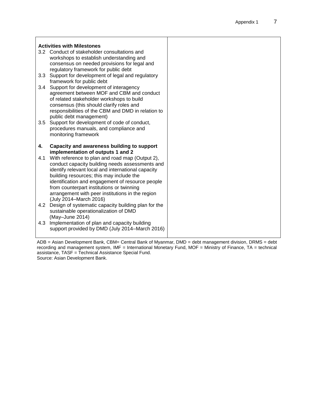|     | <b>Activities with Milestones</b>                        |  |
|-----|----------------------------------------------------------|--|
|     | 3.2 Conduct of stakeholder consultations and             |  |
|     | workshops to establish understanding and                 |  |
|     | consensus on needed provisions for legal and             |  |
|     | regulatory framework for public debt                     |  |
|     | 3.3 Support for development of legal and regulatory      |  |
|     | framework for public debt                                |  |
|     | 3.4 Support for development of interagency               |  |
|     | agreement between MOF and CBM and conduct                |  |
|     | of related stakeholder workshops to build                |  |
|     | consensus (this should clarify roles and                 |  |
|     | responsibilities of the CBM and DMD in relation to       |  |
|     | public debt management)                                  |  |
|     | 3.5 Support for development of code of conduct,          |  |
|     | procedures manuals, and compliance and                   |  |
|     | monitoring framework                                     |  |
|     |                                                          |  |
|     |                                                          |  |
| 4.  | Capacity and awareness building to support               |  |
|     | implementation of outputs 1 and 2                        |  |
| 4.1 | With reference to plan and road map (Output 2),          |  |
|     | conduct capacity building needs assessments and          |  |
|     | identify relevant local and international capacity       |  |
|     | building resources; this may include the                 |  |
|     | identification and engagement of resource people         |  |
|     | from counterpart institutions or twinning                |  |
|     | arrangement with peer institutions in the region         |  |
| 4.2 | (July 2014–March 2016)                                   |  |
|     | Design of systematic capacity building plan for the      |  |
|     | sustainable operationalization of DMD<br>(May-June 2014) |  |
| 4.3 | Implementation of plan and capacity building             |  |
|     | support provided by DMD (July 2014–March 2016)           |  |

ADB = Asian Development Bank, CBM= Central Bank of Myanmar, DMD = debt management division, DRMS = debt recording and management system, IMF = International Monetary Fund, MOF = Ministry of Finance, TA = technical assistance, TASF = Technical Assistance Special Fund. Source: Asian Development Bank.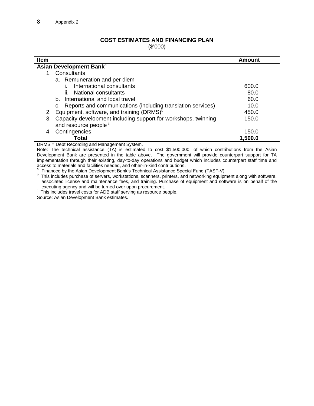#### **COST ESTIMATES AND FINANCING PLAN**

(\$'000)

| <b>Item</b>                                                          | Amount  |  |  |
|----------------------------------------------------------------------|---------|--|--|
| Asian Development Bank <sup>a</sup>                                  |         |  |  |
| Consultants                                                          |         |  |  |
| a. Remuneration and per diem                                         |         |  |  |
| International consultants                                            | 600.0   |  |  |
| ii. National consultants                                             | 80.0    |  |  |
| b. International and local travel                                    | 60.0    |  |  |
| c. Reports and communications (including translation services)       | 10.0    |  |  |
| 2. Equipment, software, and training (DRMS) <sup>b</sup>             | 450.0   |  |  |
| Capacity development including support for workshops, twinning<br>3. | 150.0   |  |  |
| and resource people <sup>c</sup>                                     |         |  |  |
| Contingencies<br>4.                                                  | 150.0   |  |  |
| Total                                                                | 1,500.0 |  |  |

DRMS = Debt Recording and Management System.

Note: The technical assistance (TA) is estimated to cost \$1,500,000, of which contributions from the Asian Development Bank are presented in the table above. The government will provide counterpart support for TA implementation through their existing, day-to-day operations and budget which includes counterpart staff time and access to materials and facilities needed, and other-in-kind contributions.<br>a Einanced by the Acien Dovelopment Bank's Technical Accidence Spee

Financed by the Asian Development Bank's Technical Assistance Special Fund (TASF-V).

<sup>b</sup> This includes purchase of servers, workstations, scanners, printers, and networking equipment along with software, associated license and maintenance fees, and training. Purchase of equipment and software is on behalf of the executing agency and will be turned over upon procurement.

<sup>c</sup> This includes travel costs for ADB staff serving as resource people.

Source: Asian Development Bank estimates.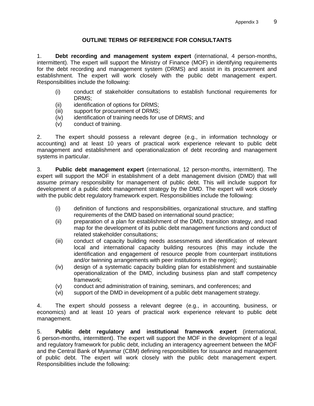## **OUTLINE TERMS OF REFERENCE FOR CONSULTANTS**

1. **Debt recording and management system expert** (international, 4 person-months, intermittent). The expert will support the Ministry of Finance (MOF) in identifying requirements for the debt recording and management system (DRMS) and assist in its procurement and establishment. The expert will work closely with the public debt management expert. Responsibilities include the following:

- (i) conduct of stakeholder consultations to establish functional requirements for DRMS;
- (ii) identification of options for DRMS;
- (iii) support for procurement of DRMS;
- (iv) identification of training needs for use of DRMS; and
- (v) conduct of training.

2. The expert should possess a relevant degree (e.g., in information technology or accounting) and at least 10 years of practical work experience relevant to public debt management and establishment and operationalization of debt recording and management systems in particular.

3. **Public debt management expert** (international, 12 person-months, intermittent). The expert will support the MOF in establishment of a debt management division (DMD) that will assume primary responsibility for management of public debt. This will include support for development of a public debt management strategy by the DMD. The expert will work closely with the public debt regulatory framework expert. Responsibilities include the following:

- (i) definition of functions and responsibilities, organizational structure, and staffing requirements of the DMD based on international sound practice;
- (ii) preparation of a plan for establishment of the DMD, transition strategy, and road map for the development of its public debt management functions and conduct of related stakeholder consultations;
- (iii) conduct of capacity building needs assessments and identification of relevant local and international capacity building resources (this may include the identification and engagement of resource people from counterpart institutions and/or twinning arrangements with peer institutions in the region);
- (iv) design of a systematic capacity building plan for establishment and sustainable operationalization of the DMD, including business plan and staff competency framework;
- (v) conduct and administration of training, seminars, and conferences; and
- (vi) support of the DMD in development of a public debt management strategy.

4. The expert should possess a relevant degree (e.g., in accounting, business, or economics) and at least 10 years of practical work experience relevant to public debt management.

5. **Public debt regulatory and institutional framework expert** (international, 6 person-months, intermittent). The expert will support the MOF in the development of a legal and regulatory framework for public debt, including an interagency agreement between the MOF and the Central Bank of Myanmar (CBM) defining responsibilities for issuance and management of public debt. The expert will work closely with the public debt management expert. Responsibilities include the following: